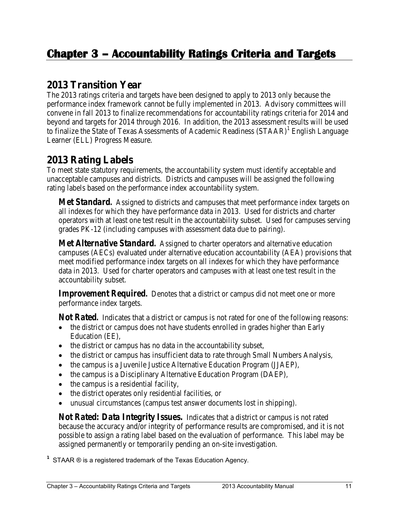## **2013 Transition Year**

The 2013 ratings criteria and targets have been designed to apply to 2013 only because the performance index framework cannot be fully implemented in 2013. Advisory committees will convene in fall 2013 to finalize recommendations for accountability ratings criteria for 2014 and beyond and targets for 2014 through 2016. In addition, the 2013 assessment results will be used to finalize the State of Texas Assessments of Academic Readiness (STAAR)<sup>1</sup> English Language Learner (ELL) Progress Measure.

# **2013 Rating Labels**

To meet state statutory requirements, the accountability system must identify acceptable and unacceptable campuses and districts. Districts and campuses will be assigned the following rating labels based on the performance index accountability system.

*Met Standard.* Assigned to districts and campuses that meet performance index targets on all indexes for which they have performance data in 2013. Used for districts and charter operators with at least one test result in the accountability subset. Used for campuses serving grades PK-12 (including campuses with assessment data due to pairing).

*Met Alternative Standard.* Assigned to charter operators and alternative education campuses (AECs) evaluated under alternative education accountability (AEA) provisions that meet modified performance index targets on all indexes for which they have performance data in 2013. Used for charter operators and campuses with at least one test result in the accountability subset.

*Improvement Required.* Denotes that a district or campus did not meet one or more performance index targets.

*Not Rated.* Indicates that a district or campus is not rated for one of the following reasons:

- the district or campus does not have students enrolled in grades higher than Early Education (EE),
- the district or campus has no data in the accountability subset,
- the district or campus has insufficient data to rate through Small Numbers Analysis,
- the campus is a Juvenile Justice Alternative Education Program (JJAEP),
- the campus is a Disciplinary Alternative Education Program (DAEP),
- the campus is a residential facility,
- the district operates only residential facilities, or
- unusual circumstances (campus test answer documents lost in shipping).

*Not Rated: Data Integrity Issues.* Indicates that a district or campus is not rated because the accuracy and/or integrity of performance results are compromised, and it is not possible to assign a rating label based on the evaluation of performance. This label may be assigned permanently or temporarily pending an on-site investigation.

**1** STAAR ® is a registered trademark of the Texas Education Agency.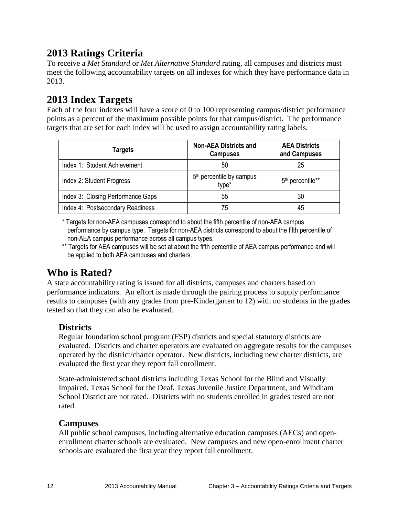# **2013 Ratings Criteria**

To receive a *Met Standard* or *Met Alternative Standard* rating, all campuses and districts must meet the following accountability targets on all indexes for which they have performance data in 2013.

## **2013 Index Targets**

Each of the four indexes will have a score of 0 to 100 representing campus/district performance points as a percent of the maximum possible points for that campus/district. The performance targets that are set for each index will be used to assign accountability rating labels.

| Targets                           | <b>Non-AEA Districts and</b><br><b>Campuses</b> | <b>AEA Districts</b><br>and Campuses |
|-----------------------------------|-------------------------------------------------|--------------------------------------|
| Index 1: Student Achievement      | 50                                              | 25                                   |
| Index 2: Student Progress         | 5 <sup>th</sup> percentile by campus<br>type*   | 5 <sup>th</sup> percentile**         |
| Index 3: Closing Performance Gaps | 55                                              | 30                                   |
| Index 4: Postsecondary Readiness  | 75                                              | 45                                   |

\* Targets for non-AEA campuses correspond to about the fifth percentile of non-AEA campus performance by campus type. Targets for non-AEA districts correspond to about the fifth percentile of non-AEA campus performance across all campus types.

\*\* Targets for AEA campuses will be set at about the fifth percentile of AEA campus performance and will be applied to both AEA campuses and charters.

### **Who is Rated?**

A state accountability rating is issued for all districts, campuses and charters based on performance indicators. An effort is made through the pairing process to supply performance results to campuses (with any grades from pre-Kindergarten to 12) with no students in the grades tested so that they can also be evaluated.

### **Districts**

Regular foundation school program (FSP) districts and special statutory districts are evaluated. Districts and charter operators are evaluated on aggregate results for the campuses operated by the district/charter operator. New districts, including new charter districts, are evaluated the first year they report fall enrollment.

State-administered school districts including Texas School for the Blind and Visually Impaired, Texas School for the Deaf, Texas Juvenile Justice Department, and Windham School District are not rated. Districts with no students enrolled in grades tested are not rated.

### **Campuses**

All public school campuses, including alternative education campuses (AECs) and openenrollment charter schools are evaluated. New campuses and new open-enrollment charter schools are evaluated the first year they report fall enrollment.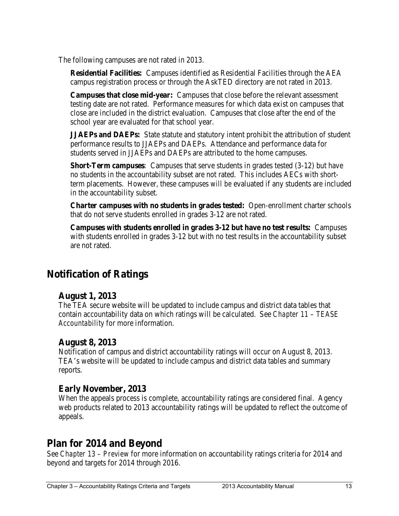The following campuses are not rated in 2013.

**Residential Facilities:** Campuses identified as Residential Facilities through the AEA campus registration process or through the AskTED directory are not rated in 2013.

**Campuses that close mid-year:** Campuses that close before the relevant assessment testing date are not rated. Performance measures for which data exist on campuses that close are included in the district evaluation. Campuses that close after the end of the school year are evaluated for that school year.

**JJAEPs and DAEPs:** State statute and statutory intent prohibit the attribution of student performance results to JJAEPs and DAEPs. Attendance and performance data for students served in JJAEPs and DAEPs are attributed to the home campuses.

**Short-Term campuses**: Campuses that serve students in grades tested (3-12) but have no students in the accountability subset are not rated. This includes AECs with shortterm placements. However, these campuses *will be* evaluated if any students are included in the accountability subset.

**Charter campuses with no students in grades tested:** Open-enrollment charter schools that do not serve students enrolled in grades 3-12 are not rated.

**Campuses with students enrolled in grades 3-12 but have no test results:** Campuses with students enrolled in grades 3-12 but with no test results in the accountability subset are not rated.

### **Notification of Ratings**

### **August 1, 2013**

The TEA secure website will be updated to include campus and district data tables that contain accountability data on which ratings will be calculated. See *Chapter 11 – TEASE Accountability* for more information.

### **August 8, 2013**

Notification of campus and district accountability ratings will occur on August 8, 2013. TEA's website will be updated to include campus and district data tables and summary reports.

### **Early November, 2013**

When the appeals process is complete, accountability ratings are considered final. Agency web products related to 2013 accountability ratings will be updated to reflect the outcome of appeals.

### **Plan for 2014 and Beyond**

See *Chapter 13 – Preview* for more information on accountability ratings criteria for 2014 and beyond and targets for 2014 through 2016.